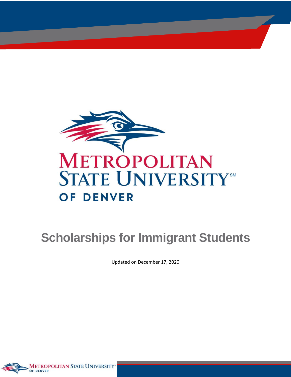

# **Scholarships for Immigrant Students**

Updated on December 17, 2020

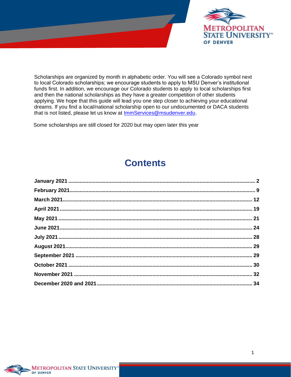

Scholarships are organized by month in alphabetic order. You will see a Colorado symbol next to local Colorado scholarships; we encourage students to apply to MSU Denver's institutional funds first. In addition, we encourage our Colorado students to apply to local scholarships first and then the national scholarships as they have a greater competition of other students applying. We hope that this guide will lead you one step closer to achieving your educational dreams. If you find a local/national scholarship open to our undocumented or DACA students that is not listed, please let us know at **ImmServices@msudenver.edu**.

Some scholarships are still closed for 2020 but may open later this year

# **Contents**

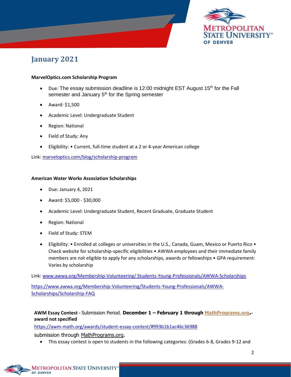

### <span id="page-2-0"></span>**January 2021**

#### **MarvelOptics.com Scholarship Program**

- Due: The essay submission deadline is 12:00 midnight EST August 15<sup>th</sup> for the Fall semester and January  $5<sup>th</sup>$  for the Spring semester
- Award: \$1,500
- Academic Level: Undergraduate Student
- Region: National
- Field of Study: Any
- Eligibility: Current, full-time student at a 2 or 4-year American college

Link: [marveloptics.com/blog/scholarship-program](https://marveloptics.com/blog/scholarship-program)

#### **American Water Works Association Scholarships**

- Due: January 4, 2021
- Award: \$5,000 \$30,000
- Academic Level: Undergraduate Student, Recent Graduate, Graduate Student
- Region: National
- Field of Study: STEM
- Eligibility: Enrolled at colleges or universities in the U.S., Canada, Guam, Mexico or Puerto Rico Check website for scholarship-specific eligibilities • AWWA employees and their immediate family members are not eligible to apply for any scholarships, awards or fellowships • GPA requirement: Varies by scholarship

Link: [www.awwa.org/Membership-Volunteering/ Students-Young-Professionals/AWWA-Scholarships](https://www.awwa.org/Membership-Volunteering/%20Students-Young-Professionals/AWWA-Scholarships)

[https://www.awwa.org/Membership-Volunteering/Students-Young-Professionals/AWWA-](https://www.awwa.org/Membership-Volunteering/Students-Young-Professionals/AWWA-Scholarships/Scholarship-FAQ)[Scholarships/Scholarship-FAQ](https://www.awwa.org/Membership-Volunteering/Students-Young-Professionals/AWWA-Scholarships/Scholarship-FAQ)

#### **AWM Essay Contest -** Submission Period. **December 1 – February 1 through [MathPrograms.org](https://www.mathprograms.org/). award not specified**

<https://awm-math.org/awards/student-essay-contest/#993b1b1ac46c36988>

submission through [MathPrograms.org](https://www.mathprograms.org/).

• This essay contest is open to students in the following categories: (Grades 6-8, Grades 9-12 and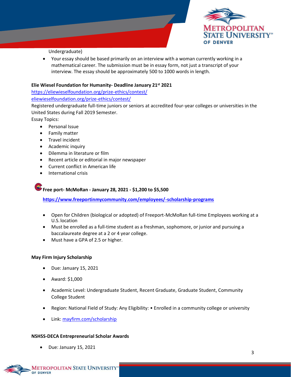

Undergraduate)

• Your essay should be based primarily on an interview with a woman currently working in a mathematical career. The submission must be in essay form, not just a transcript of your interview. The essay should be approximately 500 to 1000 words in length.

#### **Elie Wiesel Foundation for Humanity- Deadline January 21st 2021**

<https://eliewieselfoundation.org/prize-ethics/contest/>

[eliewieselfoundation.org/prize-ethics/contest/](https://eliewieselfoundation.org/prize-ethics/contest/)

Registered undergraduate full-time juniors or seniors at accredited four-year colleges or universities in the United States during Fall 2019 Semester.

Essay Topics:

- Personal Issue
- Family matter
- Travel incident
- Academic inquiry
- Dilemma in literature or film
- Recent article or editorial in major newspaper
- Current conflict in American life
- International crisis

**Free port- McMoRan - January 28, 2021 - \$1,200 to \$5,500**

**<https://www.freeportinmycommunity.com/employees/-scholarship-programs>**

- Open for Children (biological or adopted) of Freeport-McMoRan full-time Employees working at a U.S. location
- Must be enrolled as a full-time student as a freshman, sophomore, or junior and pursuing a baccalaureate degree at a 2 or 4 year college.
- Must have a GPA of 2.5 or higher.

#### **May Firm Injury Scholarship**

- Due: January 15, 2021
- Award: \$1,000
- Academic Level: Undergraduate Student, Recent Graduate, Graduate Student, Community College Student
- Region: National Field of Study: Any Eligibility: Enrolled in a community college or university
- Link: [mayfirm.com/scholarship](https://mayfirm.com/scholarship)

#### **NSHSS-DECA Entrepreneurial Scholar Awards**

• Due: January 15, 2021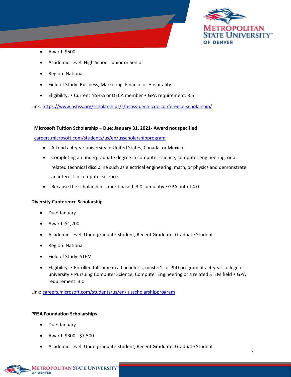

- Award: \$500
- Academic Level: High School Junior or Senior
- Region: National
- Field of Study: Business, Marketing, Finance or Hospitality
- Eligibility: Current NSHSS or DECA member GPA requirement: 3.5

Link: <https://www.nshss.org/scholarships/s/nshss-deca-icdc-conference-scholarship/>

#### **Microsoft Tuition Scholarship – Due: January 31, 2021- Award not specified**

[careers.microsoft.com/students/us/en/usscholarshipprogram](https://careers.microsoft.com/students/us/en/usscholarshipprogram) 

- Attend a 4-year university in United States, Canada, or Mexico.
- Completing an undergraduate degree in computer science, computer engineering, or a related technical discipline such as electrical engineering, math, or physics and demonstrate an interest in computer science.
- Because the scholarship is merit based. 3.0 cumulative GPA out of 4.0.

#### **Diversity Conference Scholarship**

- Due: January
- Award: \$1,200
- Academic Level: Undergraduate Student, Recent Graduate, Graduate Student
- Region: National
- Field of Study: STEM
- Eligibility: Enrolled full-time in a bachelor's, master's or PhD program at a 4-year college or university • Pursuing Computer Science, Computer Engineering or a related STEM field • GPA requirement: 3.0

Link: [careers.microsoft.com/students/us/en/ usscholarshipprogram](https://careers.microsoft.com/students/us/en/usscholarshipprogram)

#### **PRSA Foundation Scholarships**

- Due: January
- Award: \$300 \$7,500
- Academic Level: Undergraduate Student, Recent Graduate, Graduate Student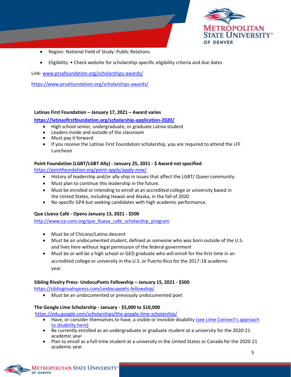

- Region: National Field of Study: Public Relations
- Eligibility: Check website for scholarship-specific eligibility criteria and due dates

Link: [www.prsafoundation.org/scholarships-awards/](https://www.prsafoundation.org/scholarships-awards/axia-public-relations-scholarship/)

<https://www.prsafoundation.org/scholarships-awards/>

#### **Latinas First Foundation – January 17, 2021 – Award varies**

**<https://latinasfirstfoundation.org/scholarship-application-2020/>**

- High school senior, undergraduate, or graduate Latina student
- Leaders inside and outside of the classroom
- Must pay it forward
- If you receive the Latinas First Foundation scholarship, you are required to attend the LFF Luncheon

#### **Point Foundation (LGBT/LGBT Ally) - January 25, 2021 - \$ Award not specified**

<https://pointfoundation.org/point-apply/apply-now/>

- History of leadership and/or ally-ship in issues that affect the LGBT/ Queer community.
- Must plan to continue this leadership in the future.
- Must be enrolled or intending to enroll at an accredited college or university based in the United States, including Hawaii and Alaska, in the fall of 2020
- No specific GPA but seeking candidates with high academic performance.

#### **Que Llueva Café - Opens January 13, 2021 - \$500**

[http://www.ca-core.org/que\\_llueva\\_cafe\\_scholarship\\_program](http://www.ca-core.org/que_llueva_cafe_scholarship_program)\_

- Must be of Chicano/Latino descent
- Must be an undocumented student, defined as someone who was born outside of the U.S. and lives here without legal permission of the federal government
- Must be or will be a high school or GED graduate who will enroll for the first time in an accredited college or university in the U.S. or Puerto Rico for the 2017-18 academic year.

#### **Sibling Rivalry Press- UndocuPoets Fellowship – January 15, 2021 - \$500**

<https://siblingrivalrypress.com/undocupoets-fellowship/>

• Must be an undocumented or previously undocumented poet

#### **The Google Lime Scholarship - January - \$5,000 to \$10,000**

<https://edu.google.com/scholarships/the-google-lime-scholarship/>

- Have, or consider themselves to have, a visible or invisible disability (see Lime Connect's approach to disability here)
- Be currently enrolled as an undergraduate or graduate student at a university for the 2020-21 academic year
- Plan to enroll as a full-time student at a university in the United States or Canada for the 2020-21 academic year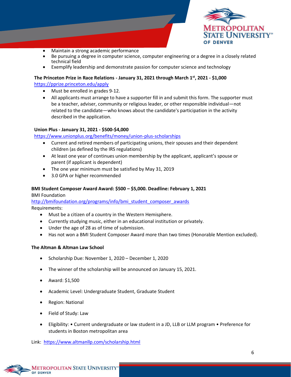

- Maintain a strong academic performance
- Be pursuing a degree in computer science, computer engineering or a degree in a closely related technical field
- Exemplify leadership and demonstrate passion for computer science and technology

#### **The Princeton Prize in Race Relations - January 31, 2021 through March 1st, 2021 - \$1,000**

<https://pprize.princeton.edu/apply>

- Must be enrolled in grades 9-12.
- All applicants must arrange to have a supporter fill in and submit this form. The supporter must be a teacher, adviser, community or religious leader, or other responsible individual—not related to the candidate—who knows about the candidate's participation in the activity described in the application.

#### **Union Plus - January 31, 2021 - \$500-\$4,000**

<https://www.unionplus.org/benefits/money/union-plus-scholarships>

- Current and retired members of participating unions, their spouses and their dependent children (as defined by the IRS regulations)
- At least one year of continues union membership by the applicant, applicant's spouse or parent (if applicant is dependent)
- The one year minimum must be satisfied by May 31, 2019
- 3.0 GPA or higher recommended

#### **BMI Student Composer Award Award: \$500 – \$5,000. Deadline: February 1, 2021**

BMI Foundation

[http://bmifoundation.org/programs/info/bmi\\_student\\_composer\\_awards](http://bmifoundation.org/programs/info/bmi_student_composer_awards) Requirements:

- Must be a citizen of a country in the Western Hemisphere.
- Currently studying music, either in an educational institution or privately.
- Under the age of 28 as of time of submission.
- Has not won a BMI Student Composer Award more than two times (Honorable Mention excluded).

#### **The Altman & Altman Law School**

- Scholarship Due: November 1, 2020 December 1, 2020
- The winner of the scholarship will be announced on January 15, 2021.
- Award: \$1,500
- Academic Level: Undergraduate Student, Graduate Student
- Region: National
- Field of Study: Law
- Eligibility: Current undergraduate or law student in a JD, LLB or LLM program Preference for students in Boston metropolitan area

Link: <https://www.altmanllp.com/scholarship.html>

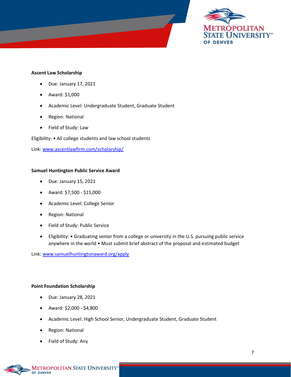

#### **Ascent Law Scholarship**

- Due: January 17, 2021
- Award: \$1,000
- Academic Level: Undergraduate Student, Graduate Student
- Region: National
- Field of Study: Law

Eligibility: • All college students and law school students

Link: [www.ascentlawfirm.com/scholarship/](http://www.ascentlawfirm.com/scholarship/)

#### **Samuel Huntington Public Service Award**

- Due: January 15, 2021
- Award: \$7,500 \$15,000
- Academic Level: College Senior
- Region: National
- Field of Study: Public Service
- Eligibility: Graduating senior from a college or university in the U.S. pursuing public service anywhere in the world • Must submit brief abstract of the proposal and estimated budget

Link: [www.samuelhuntingtonaward.org/apply](https://www.samuelhuntingtonaward.org/apply)

#### **Point Foundation Scholarship**

- Due: January 28, 2021
- Award: \$2,000 \$4,800
- Academic Level: High School Senior, Undergraduate Student, Graduate Student
- Region: National
- Field of Study: Any

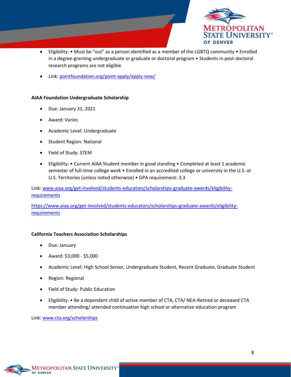

- Eligibility: Must be "out" as a person identified as a member of the LGBTQ community Enrolled in a degree-granting undergraduate or graduate or doctoral program • Students in post-doctoral research programs are not eligible
- Link: [pointfoundation.org/point-apply/apply-now/](https://pointfoundation.org/point-apply/apply-now/)

#### **AIAA Foundation Undergraduate Scholarship**

- Due: January 31, 2021
- Award: Varies
- Academic Level: Undergraduate
- Student Region: National
- Field of Study: STEM
- Eligibility: Current AIAA Student member in good standing Completed at least 1 academic semester of full-time college work • Enrolled in an accredited college or university in the U.S. or U.S. Territories (unless noted otherwise) • GPA requirement: 3.3

Link: [www.aiaa.org/get-involved/students-educators/scholarships-graduate-awards/eligibility](https://www.aiaa.org/get-involved/students-educators/scholarships-graduate-awards)[requirements](https://www.aiaa.org/get-involved/students-educators/scholarships-graduate-awards)

[https://www.aiaa.org/get-involved/students-educators/scholarships-graduate-awards/eligibility](https://www.aiaa.org/get-involved/students-educators/scholarships-graduate-awards/eligibility-requirements)[requirements](https://www.aiaa.org/get-involved/students-educators/scholarships-graduate-awards/eligibility-requirements)

#### **California Teachers Association Scholarships**

- Due: January
- Award: \$3,000 \$5,000
- Academic Level: High School Senior, Undergraduate Student, Recent Graduate, Graduate Student
- Region: Regional
- Field of Study: Public Education
- Eligibility: Be a dependent child of active member of CTA, CTA/ NEA-Retired or deceased CTA member attending/ attended continuation high school or alternative education program

Link: [www.cta.org/scholarships](http://www.cta.org/scholarships)

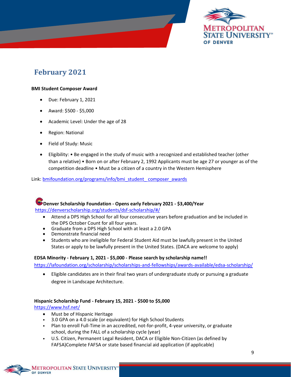

# <span id="page-9-0"></span>**February 2021**

#### **BMI Student Composer Award**

- Due: February 1, 2021
- Award: \$500 \$5,000
- Academic Level: Under the age of 28
- Region: National
- Field of Study: Music
- Eligibility: Be engaged in the study of music with a recognized and established teacher (other than a relative) • Born on or after February 2, 1992 Applicants must be age 27 or younger as of the competition deadline • Must be a citizen of a country in the Western Hemisphere

Link: bmifoundation.org/programs/info/bmi\_student\_composer\_awards



- Attend a DPS High School for all four consecutive years before graduation and be included in the DPS October Count for all four years.
- Graduate from a DPS High School with at least a 2.0 GPA
- Demonstrate financial need
- Students who are ineligible for Federal Student Aid must be lawfully present in the United States or apply to be lawfully present in the United States. (DACA are welcome to apply)

#### **EDSA Minority - February 1, 2021 - \$5,000 - Please search by scholarship name!!**

<https://lafoundation.org/scholarship/scholarships-and-fellowships/awards-available/edsa-scholarship/>

• Eligible candidates are in their final two years of undergraduate study or pursuing a graduate degree in Landscape Architecture.

#### **Hispanic Scholarship Fund - February 15, 2021 - \$500 to \$5,000**

<https://www.hsf.net/>

- Must be of Hispanic Heritage
- 3.0 GPA on a 4.0 scale (or equivalent) for High School Students
- Plan to enroll Full-Time in an accredited, not-for-profit, 4-year university, or graduate school, during the FALL of a scholarship cycle (year)
- U.S. Citizen, Permanent Legal Resident, DACA or Eligible Non-Citizen (as defined by FAFSA)Complete FAFSA or state based financial aid application (if applicable)

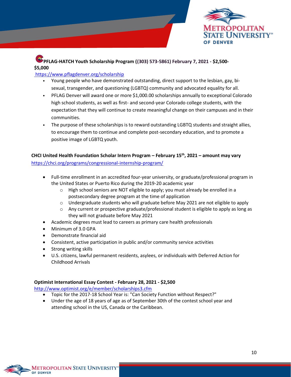

### **PFLAG-HATCH Youth Scholarship Program ((303) 573-5861) February 7, 2021 - \$2,500- \$5,000**

#### <https://www.pflagdenver.org/scholarship>

- Young people who have demonstrated outstanding, direct support to the lesbian, gay, bisexual, transgender, and questioning (LGBTQ) community and advocated equality for all.
- PFLAG Denver will award one or more \$1,000.00 scholarships annually to exceptional Colorado high school students, as well as first- and second-year Colorado college students, with the expectation that they will continue to create meaningful change on their campuses and in their communities.
- The purpose of these scholarships is to reward outstanding LGBTQ students and straight allies, to encourage them to continue and complete post-secondary education, and to promote a positive image of LGBTQ youth.

#### **CHCI United Health Foundation Scholar Intern Program – February 15th, 2021 – amount may vary** <https://chci.org/programs/congressional-internship-program/>

- Full-time enrollment in an accredited four-year university, or graduate/professional program in the United States or Puerto Rico during the 2019-20 academic year
	- o High school seniors are NOT eligible to apply; you must already be enrolled in a postsecondary degree program at the time of application
	- o Undergraduate students who will graduate before May 2021 are not eligible to apply
	- o Any current or prospective graduate/professional student is eligible to apply as long as they will not graduate before May 2021
- Academic degrees must lead to careers as primary care health professionals
- Minimum of 3.0 GPA
- Demonstrate financial aid
- Consistent, active participation in public and/or community service activities
- Strong writing skills
- U.S. citizens, lawful permanent residents, asylees, or individuals with Deferred Action for Childhood Arrivals

#### **Optimist International Essay Contest - February 28, 2021 - \$2,500**

<http://www.optimist.org/e/member/scholarships3.cfm>

- Topic for the 2017-18 School Year is: "Can Society Function without Respect?"
- Under the age of 18 years of age as of September 30th of the contest school year and attending school in the US, Canada or the Caribbean.

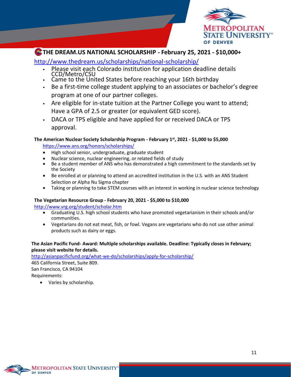

### **THE DREAM.US NATIONAL SCHOLARSHIP - February 25, 2021 - \$10,000+**

<http://www.thedream.us/scholarships/national-scholarship/>

- Please visit each Colorado institution for application deadline details CCD/Metro/CSU
- Came to the United States before reaching your 16th birthday
- Be a first-time college student applying to an associates or bachelor's degree program at one of our partner colleges.
- Are eligible for in-state tuition at the Partner College you want to attend; Have a GPA of 2.5 or greater (or equivalent GED score).
- DACA or TPS eligible and have applied for or received DACA or TPS approval.

### **The American Nuclear Society Scholarship Program - February 1st, 2021 - \$1,000 to \$5,000**

<https://www.ans.org/honors/scholarships/>

- High school senior, undergraduate, graduate student
- Nuclear science, nuclear engineering, or related fields of study
- Be a student member of ANS who has demonstrated a high commitment to the standards set by the Society
- Be enrolled at or planning to attend an accredited institution in the U.S. with an ANS Student Selection or Alpha Nu Sigma chapter
- Taking or planning to take STEM courses with an interest in working in nuclear science technology

#### **The Vegetarian Resource Group - February 20, 2021 - \$5,000 to \$10,000**

<http://www.vrg.org/student/scholar.htm>

- Graduating U.S. high school students who have promoted vegetarianism in their schools and/or communities.
- Vegetarians do not eat meat, fish, or fowl. Vegans are vegetarians who do not use other animal products such as dairy or eggs.

#### **The Asian Pacific Fund- Award: Multiple scholarships available. Deadline: Typically closes in February; please visit website for details.**

<http://asianpacificfund.org/what-we-do/scholarships/apply-for-scholarship/>

465 California Street, Suite 809. San Francisco, CA 94104 Requirements:

<span id="page-11-0"></span>• Varies by scholarship.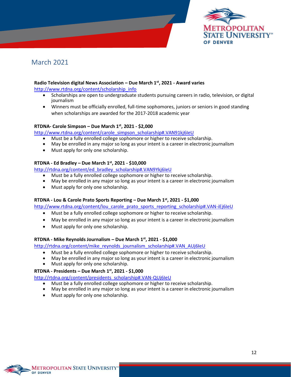

### March 2021

#### **Radio Television digital News Association – Due March 1st, 2021 - Award varies**

[http://www.rtdna.org/content/scholarship\\_info](http://www.rtdna.org/content/scholarship_info)

- Scholarships are open to undergraduate students pursuing careers in radio, television, or digital **journalism**
- Winners must be officially enrolled, full-time sophomores, juniors or seniors in good standing when scholarships are awarded for the 2017-2018 academic year

#### **RTDNA- Carole Simpson – Due March 1st, 2021 - \$2,000**

[http://www.rtdna.org/content/carole\\_simpson\\_scholarship#.VAN91kj6IeU](http://www.rtdna.org/content/carole_simpson_scholarship#.VAN91kj6IeU)

- Must be a fully enrolled college sophomore or higher to receive scholarship.
- May be enrolled in any major so long as your intent is a career in electronic journalism
- Must apply for only one scholarship.

#### **RTDNA - Ed Bradley – Due March 1st, 2021 - \$10,000**

[http://rtdna.org/content/ed\\_bradley\\_scholarship#.VAN9Ykj6IeU](http://rtdna.org/content/ed_bradley_scholarship#.VAN9Ykj6IeU)

- Must be a fully enrolled college sophomore or higher to receive scholarship.
- May be enrolled in any major so long as your intent is a career in electronic journalism
- Must apply for only one scholarship.

#### **RTDNA - Lou & Carole Prato Sports Reporting – Due March 1st, 2021 - \$1,000**

[http://www.rtdna.org/content/lou\\_carole\\_prato\\_sports\\_reporting\\_scholarship#.VAN-iEj6IeU](http://www.rtdna.org/content/lou_carole_prato_sports_reporting_scholarship#.VAN-iEj6IeU)

- Must be a fully enrolled college sophomore or higher to receive scholarship.
- May be enrolled in any major so long as your intent is a career in electronic journalism
- Must apply for only one scholarship.

#### **RTDNA - Mike Reynolds Journalism – Due March 1st, 2021 - \$1,000**

[http://rtdna.org/content/mike\\_reynolds\\_journalism\\_scholarship#.VAN\\_AUj6IeU](http://rtdna.org/content/mike_reynolds_journalism_scholarship#.VAN_AUj6IeU)

- Must be a fully enrolled college sophomore or higher to receive scholarship.
- May be enrolled in any major so long as your intent is a career in electronic journalism
- Must apply for only one scholarship.

#### **RTDNA - Presidents – Due March 1 st, 2021 - \$1,000**

[http://rtdna.org/content/presidents\\_scholarship#.VAN-QUj6IeU](http://rtdna.org/content/presidents_scholarship#.VAN-QUj6IeU)

- Must be a fully enrolled college sophomore or higher to receive scholarship.
- May be enrolled in any major so long as your intent is a career in electronic journalism
- Must apply for only one scholarship.

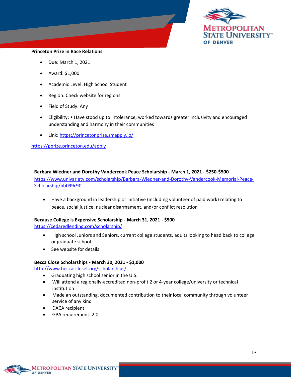

#### **Princeton Prize in Race Relations**

- Due: March 1, 2021
- Award: \$1,000
- Academic Level: High School Student
- Region: Check website for regions
- Field of Study: Any
- Eligibility: Have stood up to intolerance, worked towards greater inclusivity and encouraged understanding and harmony in their communities
- Link:<https://princetonprize.smapply.io/>

<https://pprize.princeton.edu/apply>

#### **Barbara Wiedner and Dorothy Vandercook Peace Scholarship - March 1, 2021 - \$250-\$500**

[https://www.univariety.com/scholarship/Barbara-Wiedner-and-Dorothy-Vandercook-Memorial-Peace-](https://www.univariety.com/scholarship/Barbara-Wiedner-and-Dorothy-Vandercook-Memorial-Peace-Scholarship/bb099c90)[Scholarship/bb099c90](https://www.univariety.com/scholarship/Barbara-Wiedner-and-Dorothy-Vandercook-Memorial-Peace-Scholarship/bb099c90)

• Have a background in leadership or initiative (including volunteer of paid work) relating to peace, social justice, nuclear disarmament, and/or conflict resolution

#### **Because College is Expensive Scholarship - March 31, 2021 - \$500**

<https://cedaredlending.com/scholarship/>

- High school Juniors and Seniors, current college students, adults looking to head back to college or graduate school.
- See website for details

#### **Becca Close Scholarships - March 30, 2021 - \$1,000**

<http://www.beccascloset.org/scholarships/>

- Graduating high school senior in the U.S.
- Will attend a regionally-accredited non-profit 2 or 4-year college/university or technical institution
- Made an outstanding, documented contribution to their local community through volunteer service of any kind
- DACA recipient
- GPA requirement: 2.0

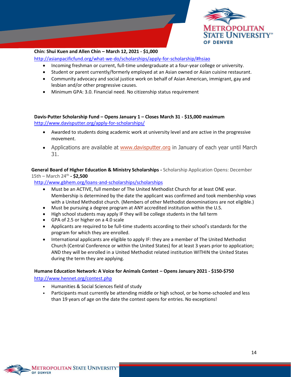

#### **Chin: Shui Kuen and Allen Chin – March 12, 2021 - \$1,000**

<http://asianpacificfund.org/what-we-do/scholarships/apply-for-scholarship/#hsiao>

- Incoming freshman or current, full-time undergraduate at a four-year college or university.
- Student or parent currently/formerly employed at an Asian owned or Asian cuisine restaurant.
- Community advocacy and social justice work on behalf of Asian American, immigrant, gay and lesbian and/or other progressive causes.
- Minimum GPA: 3.0. Financial need. No citizenship status requirement

**Davis-Putter Scholarship Fund – Opens January 1 – Closes March 31 - \$15,000 maximum** <http://www.davisputter.org/apply-for-scholarships/>

- Awarded to students doing academic work at university level and are active in the progressive movement.
- Applications are available at [www.davisputter.org](https://davisputter.gridprinciples.com/) in January of each year until March 31.

**General Board of Higher Education & Ministry Scholarships -** Scholarship Application Opens: December 15th – March 24th **- \$2,500**

<http://www.gbhem.org/loans-and-scholarships/scholarships>

- Must be an ACTIVE, full member of The United Methodist Church for at least ONE year. Membership is determined by the date the applicant was confirmed and took membership vows with a United Methodist church. (Members of other Methodist denominations are not eligible.)
- Must be pursuing a degree program at ANY accredited institution within the U.S.
- High school students may apply IF they will be college students in the fall term
- GPA of 2.5 or higher on a 4.0 scale
- Applicants are required to be full-time students according to their school's standards for the program for which they are enrolled.
- International applicants are eligible to apply IF: they are a member of The United Methodist Church (Central Conference or within the United States) for at least 3 years prior to application; AND they will be enrolled in a United Methodist related institution WITHIN the United States during the term they are applying.

#### **Humane Education Network: A Voice for Animals Contest – Opens January 2021 - \$150-\$750**

<http://www.hennet.org/contest.php>

- Humanities & Social Sciences field of study
- Participants must currently be attending middle or high school, or be home-schooled and less than 19 years of age on the date the contest opens for entries. No exceptions!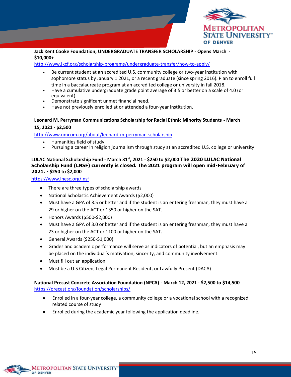

#### **Jack Kent Cooke Foundation; UNDERGRADUATE TRANSFER SCHOLARSHIP - Opens March - \$10,000+**

#### <http://www.jkcf.org/scholarship-programs/undergraduate-transfer/how-to-apply/>

- Be current student at an accredited U.S. community college or two-year institution with sophomore status by January 1 2021, or a recent graduate (since spring 2016). Plan to enroll full time in a baccalaureate program at an accredited college or university in fall 2018.
- Have a cumulative undergraduate grade point average of 3.5 or better on a scale of 4.0 (or equivalent).
- Demonstrate significant unmet financial need.
- Have not previously enrolled at or attended a four-year institution.

#### **Leonard M. Perryman Communications Scholarship for Racial Ethnic Minority Students - March 15, 2021 - \$2,500**

<http://www.umcom.org/about/leonard-m-perryman-scholarship>

- Humanities field of study
- Pursuing a career in religion journalism through study at an accredited U.S. college or university

#### **LULAC National Scholarship Fund - March 31st, 2021 - \$250 to \$2,000 The 2020 LULAC National Scholarship Fund (LNSF) currently is closed. The 2021 program will open mid-February of 2021. - \$250 to \$2,000**

<https://www.lnesc.org/lnsf>

- There are three types of scholarship awards
- National Scholastic Achievement Awards (\$2,000)
- Must have a GPA of 3.5 or better and if the student is an entering freshman, they must have a 29 or higher on the ACT or 1350 or higher on the SAT.
- Honors Awards (\$500-\$2,000)
- Must have a GPA of 3.0 or better and if the student is an entering freshman, they must have a 23 or higher on the ACT or 1100 or higher on the SAT.
- General Awards (\$250-\$1,000)
- Grades and academic performance will serve as indicators of potential, but an emphasis may be placed on the individual's motivation, sincerity, and community involvement.
- Must fill out an application
- Must be a U.S Citizen, Legal Permanent Resident, or Lawfully Present (DACA)

#### **National Precast Concrete Association Foundation (NPCA) - March 12, 2021 - \$2,500 to \$14,500** <https://precast.org/foundation/scholarships/>

- Enrolled in a four-year college, a community college or a vocational school with a recognized related course of study
- Enrolled during the academic year following the application deadline.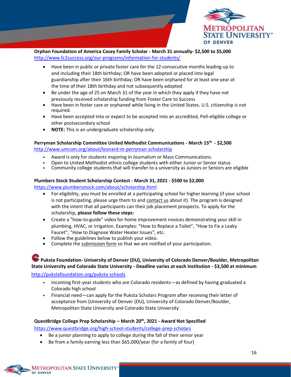

**Orphan Foundation of America Casey Family Scholar - March 31 annually- \$2,500 to \$5,000** <http://www.fc2success.org/our-programs/information-for-students/>

- Have been in public or private foster care for the 12 consecutive months leading up to and including their 18th birthday; OR have been adopted or placed into legal guardianship after their 16th birthday; OR have been orphaned for at least one year at the time of their 18th birthday and not subsequently adopted
- Be under the age of 25 on March 31 of the year in which they apply if they have not previously received scholarship funding from Foster Care to Success
- Have been in foster care or orphaned while living in the United States. U.S. citizenship is not required.
- Have been accepted into or expect to be accepted into an accredited, Pell-eligible college or other postsecondary school
- **NOTE:** This is an undergraduate scholarship only.

#### **Perryman Scholarship Committee United Methodist Communications - March 15th - \$2,500** <http://www.umcom.org/about/leonard-m-perryman-scholarship>

- Award is only for students majoring in Journalism or Mass Communications.
- Open to United Methodist ethnic college students with either Junior or Senior status
- Community college students that will transfer to a university as Juniors or Seniors are eligible

#### **Plumbers Stock Student Scholarship Contest - March 31, 2021 - \$500 to \$2,000**

<https://www.plumbersstock.com/about/scholarship.html>

- For eligibility, you must be enrolled at a participating school for higher learning (if your school is not participating, please urge them to and [contact us](https://www.plumbersstock.com/support/contact.html) about it). The program is designed with the intent that all participants can their job placement prospects. To apply for the scholarship, **please follow these steps:**
- Create a "how-to-guide" video for home improvement novices demonstrating your skill in plumbing, HVAC, or irrigation. Examples: "How to Replace a Toilet", "How to Fix a Leaky Faucet", "How to Diagnose Water Heater Issues", etc.
- Follow the guidelines below to publish your video.
- Complete th[e submission form](https://www.plumbersstock.com/about/scholarship.html) so that we are notified of your participation.

### **Puksta Foundation- University of Denver (DU), University of Colorado Denver/Boulder, Metropolitan State University and Colorado State University - Deadline varies at each Institution - \$3,500 at minimum**

#### <http://pukstafoundation.org/puksta-schools>

- Incoming first-year students who are Colorado residents—as defined by having graduated a Colorado high school
- Financial need—can apply for the Puksta Scholars Program after receiving their letter of acceptance from (University of Denver (DU), University of Colorado Denver/Boulder, Metropolitan State University and Colorado State University

#### **QuestBridge College Prep Scholarship – March 20th, 2021 - Award Not Specified**

<https://www.questbridge.org/high-school-students/college-prep-scholars>

- Be a junior planning to apply to college during the fall of their senior year
- Be from a family earning less than \$65,000/year (for a family of four)

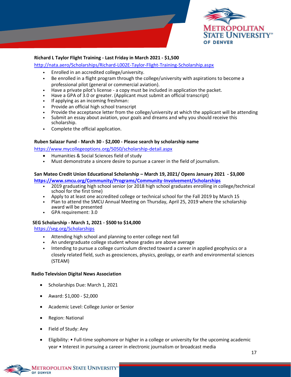

#### **Richard L Taylor Flight Training - Last Friday in March 2021 - \$1,500**

<http://nata.aero/Scholarships/Richard-L002E-Taylor-Flight-Training-Scholarship.aspx>

- Enrolled in an accredited college/university.
- Be enrolled in a flight program through the college/university with aspirations to become a professional pilot (general or commercial aviation).
- Have a private pilot's license a copy must be included in application the packet.
- Have a GPA of 3.0 or greater. (Applicant must submit an official transcript)
- If applying as an incoming freshman:
- Provide an official high school transcript
- Provide the acceptance letter from the college/university at which the applicant will be attending
- Submit an essay about aviation, your goals and dreams and why you should receive this scholarship.
- Complete the official application.

#### **Ruben Salazar Fund - March 30 - \$2,000 - Please search by scholarship name**

<https://www.mycollegeoptions.org/5050/scholarship-detail.aspx>

- Humanities & Social Sciences field of study
- Must demonstrate a sincere desire to pursue a career in the field of journalism.

#### **San Mateo Credit Union Educational Scholarship – March 19, 2021/ Opens January 2021 - \$3,000**

**<https://www.smcu.org/Community/Programs/Community-Involvement/Scholarships>**

- 2019 graduating high school senior (or 2018 high school graduates enrolling in college/technical school for the first time)
- Apply to at least one accredited college or technical school for the Fall 2019 by March 15
- Plan to attend the SMCU Annual Meeting on Thursday, April 25, 2019 where the scholarship award will be presented
- GPA requirement: 3.0

#### **SEG Scholarship - March 1, 2021 - \$500 to \$14,000**

<https://seg.org/Scholarships>

- Attending high school and planning to enter college next fall
- An undergraduate college student whose grades are above average
- Intending to pursue a college curriculum directed toward a career in applied geophysics or a closely related field, such as geosciences, physics, geology, or earth and environmental sciences (STEAM)

#### **Radio Television Digital News Association**

- Scholarships Due: March 1, 2021
- Award: \$1,000 \$2,000
- Academic Level: College Junior or Senior
- Region: National
- Field of Study: Any
- Eligibility: Full-time sophomore or higher in a college or university for the upcoming academic year • Interest in pursuing a career in electronic journalism or broadcast media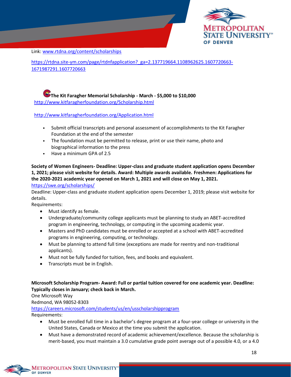

Link: [www.rtdna.org/content/scholarships](https://www.rtdna.org/content/scholarship_faq)

[https://rtdna.site-ym.com/page/rtdnfapplication?\\_ga=2.137719664.1108962625.1607720663-](https://rtdna.site-ym.com/page/rtdnfapplication?_ga=2.137719664.1108962625.1607720663-1671987291.1607720663) [1671987291.1607720663](https://rtdna.site-ym.com/page/rtdnfapplication?_ga=2.137719664.1108962625.1607720663-1671987291.1607720663)

**The Kit Faragher Memorial Scholarship - March - \$5,000 to \$10,000** <http://www.kitfaragherfoundation.org/Scholarship.html>

<http://www.kitfaragherfoundation.org/Application.html>

- Submit official transcripts and personal assessment of accomplishments to the Kit Faragher Foundation at the end of the semester
- The foundation must be permitted to release, print or use their name, photo and biographical information to the press
- Have a minimum GPA of 2.5

**Society of Women Engineers- Deadline: Upper-class and graduate student application opens December 1, 2021; please visit website for details. Award: Multiple awards available. Freshmen: Applications for the 2020-2021 academic year opened on March 1, 2021 and will close on May 1, 2021.** <https://swe.org/scholarships/>

Deadline: Upper-class and graduate student application opens December 1, 2019; please visit website for details.

Requirements:

- Must identify as female.
- Undergraduate/community college applicants must be planning to study an ABET-accredited program in engineering, technology, or computing in the upcoming academic year.
- Masters and PhD candidates must be enrolled or accepted at a school with ABET-accredited programs in engineering, computing, or technology.
- Must be planning to attend full time (exceptions are made for reentry and non-traditional applicants).
- Must not be fully funded for tuition, fees, and books and equivalent.
- Transcripts must be in English.

**Microsoft Scholarship Program- Award: Full or partial tuition covered for one academic year. Deadline: Typically closes in January; check back in March.**

One Microsoft Way

Redmond, WA 98052-8303

<https://careers.microsoft.com/students/us/en/usscholarshipprogram>

Requirements:

- Must be enrolled full time in a bachelor's degree program at a four-year college or university in the United States, Canada or Mexico at the time you submit the application.
- Must have a demonstrated record of academic achievement/excellence. Because the scholarship is merit-based, you must maintain a 3.0 cumulative grade point average out of a possible 4.0, or a 4.0

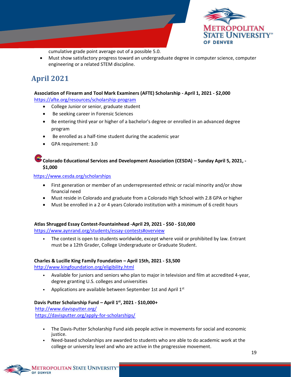

cumulative grade point average out of a possible 5.0.

• Must show satisfactory progress toward an undergraduate degree in computer science, computer engineering or a related STEM discipline.

# <span id="page-19-0"></span>**April 2021**

### **Association of Firearm and Tool Mark Examiners (AFTE) Scholarship - April 1, 2021 - \$2,000**

<https://afte.org/resources/scholarship-program>

- College Junior or senior, graduate student
- Be seeking career in Forensic Sciences
- Be entering third year or higher of a bachelor's degree or enrolled in an advanced degree program
- Be enrolled as a half-time student during the academic year
- GPA requirement: 3.0

#### **Colorado Educational Services and Development Association (CESDA) – Sunday April 5, 2021, - \$1,000**

<https://www.cesda.org/scholarships>

- First generation or member of an underrepresented ethnic or racial minority and/or show financial need
- Must reside in Colorado and graduate from a Colorado High School with 2.8 GPA or higher
- Must be enrolled in a 2 or 4 years Colorado institution with a minimum of 6 credit hours

#### **Atlas Shrugged Essay Contest-Fountainhead -April 29, 2021 - \$50 - \$10,000**

https:/[/www.aynrand.org/students/essay-contests#overview](http://www.aynrand.org/students/essay-contests#overview)

• The contest is open to students worldwide, except where void or prohibited by law. Entrant must be a 12th Grader, College Undergraduate or Graduate Student.

#### **Charles & Lucille King Family Foundation – April 15th, 2021 - \$3,500**

<http://www.kingfoundation.org/eligibility.html>

- Available for juniors and seniors who plan to major in television and film at accredited 4-year, degree granting U.S. colleges and universities
- Applications are available between September 1st and April 1st

#### **Davis Putter Scholarship Fund – April 1st , 2021 - \$10,000+**

<http://www.davisputter.org/>

<https://davisputter.org/apply-for-scholarships/>

- The Davis-Putter Scholarship Fund aids people active in movements for social and economic justice.
- Need-based scholarships are awarded to students who are able to do academic work at the college or university level and who are active in the progressive movement.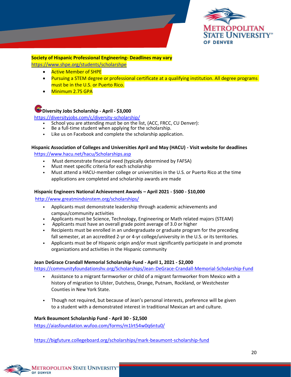

# **Society of Hispanic Professional Engineering- Deadlines may vary**

<https://www.shpe.org/students/scholarshpe>

- **Active Member of SHPE**
- Pursuing a STEM degree or professional certificate at a qualifying institution. All degree programs must be in the U.S. or Puerto Rico.
- Minimum 2.75 GPA

### **Diversity Jobs Scholarship - April - \$3,000**

<https://diversityjobs.com/c/diversity-scholarship/>

- School you are attending must be on the list, (ACC, FRCC, CU Denver):
- Be a full-time student when applying for the scholarship.
- Like us on Facebook and complete the scholarship application.

# **Hispanic Association of Colleges and Universities April and May (HACU) - Visit website for deadlines**

<https://www.hacu.net/hacu/Scholarships.asp>

- Must demonstrate financial need (typically determined by FAFSA)
- Must meet specific criteria for each scholarship
- Must attend a HACU-member college or universities in the U.S. or Puerto Rico at the time applications are completed and scholarship awards are made

#### **Hispanic Engineers National Achievement Awards – April 2021 - \$500 - \$10,000**

<http://www.greatmindsinstem.org/scholarships/>

- Applicants must demonstrate leadership through academic achievements and campus/community activities
- Applicants must be Science, Technology, Engineering or Math related majors (STEAM)
- Applicants must have an overall grade point average of 3.0 or higher
- Recipients must be enrolled in an undergraduate or graduate program for the preceding fall semester, at an accredited 2-yr or 4-yr college/university in the U.S. or its territories.
- Applicants must be of Hispanic origin and/or must significantly participate in and promote organizations and activities in the Hispanic community

#### **Jean DeGrace Crandall Memorial Scholarship Fund - April 1, 2021 - \$2,000**

https://communityfoundationshv.org/Scholarships/Jean-DeGrace-Crandall-Memorial-Scholarship-Fund

- Assistance to a migrant farmworker or child of a migrant farmworker from Mexico with a history of migration to Ulster, Dutchess, Orange, Putnam, Rockland, or Westchester Counties in New York State.
- Though not required, but because of Jean's personal interests, preference will be given to a student with a demonstrated interest in traditional Mexican art and culture.

#### **Mark Beaumont Scholarship Fund - April 30 - \$2,500**

<https://aiasfoundation.wufoo.com/forms/m1lrt54w0q6ntu0/>

https://bigfuture.collegeboard.org/scholarships/mark-beaumont-scholarship-fund

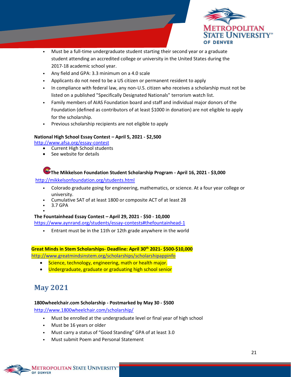

- Must be a full-time undergraduate student starting their second year or a graduate student attending an accredited college or university in the United States during the 2017-18 academic school year.
- Any field and GPA: 3.3 minimum on a 4.0 scale
- Applicants do not need to be a US citizen or permanent resident to apply
- In compliance with federal law, any non-U.S. citizen who receives a scholarship must not be listed on a published "Specifically Designated Nationals" terrorism watch list.
- Family members of AIAS Foundation board and staff and individual major donors of the Foundation (defined as contributors of at least \$1000 in donation) are not eligible to apply for the scholarship.
- Previous scholarship recipients are not eligible to apply

#### **National High School Essay Contest – April 5, 2021 - \$2,500**

<http://www.afsa.org/essay-contest>

- Current High School students
- See website for details

### **The Mikkelson Foundation Student Scholarship Program - April 16, 2021 - \$3,000**

<http://mikkelsonfoundation.org/students.html>

- Colorado graduate going for engineering, mathematics, or science. At a four year college or university.
- Cumulative SAT of at least 1800 or composite ACT of at least 28
- 3.7 GPA

•

#### **The Fountainhead Essay Contest – April 29, 2021 - \$50 - 10,000**

<https://www.aynrand.org/students/essay-contests#thefountainhead-1>

• Entrant must be in the 11th or 12th grade anywhere in the world

# **Great Minds in Stem Scholarships- Deadline: April 30th 2021- \$500-\$10,000**

<http://www.greatmindsinstem.org/scholarships/scholarshipappinfo>

- Science, technology, engineering, math or health major.
- Undergraduate, graduate or graduating high school senior

# <span id="page-21-0"></span>**May 2021**

#### **1800wheelchair.com Scholarship - Postmarked by May 30 - \$500**

<http://www.1800wheelchair.com/scholarship/>

- Must be enrolled at the undergraduate level or final year of high school
- Must be 16 years or older
- Must carry a status of "Good Standing" GPA of at least 3.0
- Must submit Poem and Personal Statement

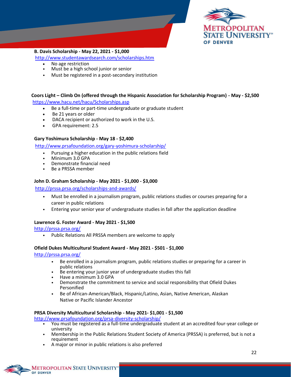

#### **B. Davis Scholarship - May 22, 2021 - \$1,000**

<http://www.studentawardsearch.com/scholarships.htm>

- No age restriction
- Must be a high school junior or senior
- Must be registered in a post-secondary institution

#### **Coors Light – Climb On (offered through the Hispanic Association for Scholarship Program) - May - \$2,500** <https://www.hacu.net/hacu/Scholarships.asp>

- Be a full-time or part-time undergraduate or graduate student
- Be 21 years or older
- DACA recipient or authorized to work in the U.S.
- GPA requirement: 2.5

#### **Gary Yoshimura Scholarship - May 18 - \$2,400**

<http://www.prsafoundation.org/gary-yoshimura-scholarship/>

- Pursuing a higher education in the public relations field
- Minimum 3.0 GPA
- Demonstrate financial need
- Be a PRSSA member

#### **John D. Graham Scholarship - May 2021 - \$1,000 - \$3,000**

#### <http://prssa.prsa.org/scholarships-and-awards/>

- Must be enrolled in a journalism program, public relations studies or courses preparing for a career in public relations
- Entering your senior year of undergraduate studies in fall after the application deadline

#### **Lawrence G. Foster Award - May 2021 - \$1,500**

<http://prssa.prsa.org/>

• Public Relations All PRSSA members are welcome to apply

#### **Ofield Dukes Multicultural Student Award - May 2021 - \$501 - \$1,000**

<http://prssa.prsa.org/>

- Be enrolled in a journalism program, public relations studies or preparing for a career in public relations
- Be entering your junior year of undergraduate studies this fall
- Have a minimum 3.0 GPA
- Demonstrate the commitment to service and social responsibility that Ofield Dukes Personified
- Be of African-American/Black, Hispanic/Latino, Asian, Native American, Alaskan Native or Pacific Islander Ancestor

#### **PRSA Diversity Multicultural Scholarship - May 2021- \$1,001 - \$1,500**

<http://www.prsafoundation.org/prsa-diversity-scholarship/>

- You must be registered as a full-time undergraduate student at an accredited four-year college or university
- Membership in the Public Relations Student Society of America (PRSSA) is preferred, but is not a requirement
- A major or minor in public relations is also preferred

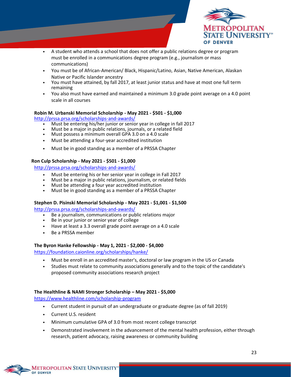

- A student who attends a school that does not offer a public relations degree or program must be enrolled in a communications degree program (e.g., journalism or mass communications)
- You must be of African-American/ Black, Hispanic/Latino, Asian, Native American, Alaskan Native or Pacific Islander ancestry
- You must have attained, by fall 2017, at least junior status and have at most one full term remaining
- You also must have earned and maintained a minimum 3.0 grade point average on a 4.0 point scale in all courses

#### **Robin M. Urbanski Memorial Scholarship - May 2021 - \$501 - \$1,000**

<http://prssa.prsa.org/scholarships-and-awards/>

- Must be entering his/her junior or senior year in college in fall 2017
- Must be a major in public relations, journals, or a related field
- Must possess a minimum overall GPA 3.0 on a 4.0 scale
- Must be attending a four-year accredited institution
- Must be in good standing as a member of a PRSSA Chapter

#### **Ron Culp Scholarship - May 2021 - \$501 - \$1,000**

<http://prssa.prsa.org/scholarships-and-awards/>

- Must be entering his or her senior year in college in Fall 2017
- Must be a major in public relations, journalism, or related fields
- Must be attending a four year accredited institution
- Must be in good standing as a member of a PRSSA Chapter

#### **Stephen D. Pisinski Memorial Scholarship - May 2021 - \$1,001 - \$1,500**

<http://prssa.prsa.org/scholarships-and-awards/>

- Be a journalism, communications or public relations major
- Be in your junior or senior year of college
- Have at least a 3.3 overall grade point average on a 4.0 scale
- Be a PRSSA member

#### **The Byron Hanke Fellowship - May 1, 2021 - \$2,000 - \$4,000**

<https://foundation.caionline.org/scholarships/hanke/>

- Must be enroll in an accredited master's, doctoral or law program in the US or Canada
- Studies must relate to community associations generally and to the topic of the candidate's proposed community associations research project

#### **The Healthline & NAMI Stronger Scholarship – May 2021 - \$5,000**

<https://www.healthline.com/scholarship-program>

- Current student in pursuit of an undergraduate or graduate degree (as of fall 2019)
- Current U.S. resident
- Minimum cumulative GPA of 3.0 from most recent college transcript
- Demonstrated involvement in the advancement of the mental health profession, either through research, patient advocacy, raising awareness or community building

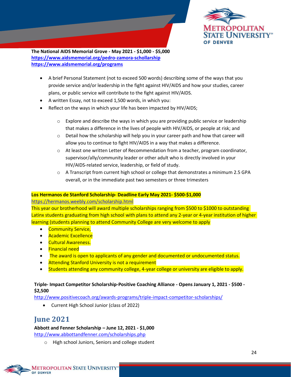

**The National AIDS Memorial Grove - May 2021 - \$1,000 - \$5,000 <https://www.aidsmemorial.org/pedro-zamora-schollarship> <https://www.aidsmemorial.org/programs>**

- A brief Personal Statement (not to exceed 500 words) describing some of the ways that you provide service and/or leadership in the fight against HIV/AIDS and how your studies, career plans, or public service will contribute to the fight against HIV/AIDS.
- A written Essay, not to exceed 1,500 words, in which you:
- Reflect on the ways in which your life has been impacted by HIV/AIDS;
	- $\circ$  Explore and describe the ways in which you are providing public service or leadership that makes a difference in the lives of people with HIV/AIDS, or people at risk; and
	- $\circ$  Detail how the scholarship will help you in your career path and how that career will allow you to continue to fight HIV/AIDS in a way that makes a difference.
	- $\circ$  At least one written Letter of Recommendation from a teacher, program coordinator, supervisor/ally/community leader or other adult who is directly involved in your HIV/AIDS-related service, leadership, or field of study.
	- o A Transcript from current high school or college that demonstrates a minimum 2.5 GPA overall, or in the immediate past two semesters or three trimesters

#### **Los Hermanos de Stanford Scholarship- Deadline Early May 2021- \$500-\$1,000**

#### <https://hermanos.weebly.com/scholarship.html>

This year our brotherhood will award multiple scholarships ranging from \$500 to \$1000 to outstanding Latinx students graduating from high school with plans to attend any 2-year or 4-year institution of higher learning (students planning to attend Community College are very welcome to apply

- Community Service,
- Academic Excellence
- Cultural Awareness.
- Financial need
- The award is open to applicants of any gender and documented or undocumented status.
- Attending Stanford University is not a requirement
- Students attending any community college, 4-year college or university are eligible to apply.

#### **Triple- Impact Competitor Scholarship-Positive Coaching Alliance - Opens January 1, 2021 - \$500 - \$2,500**

<http://www.positivecoach.org/awards-programs/triple-impact-competitor-scholarships/>

• Current High School Junior (class of 2022)

# <span id="page-24-0"></span>**June 2021**

#### **Abbott and Fenner Scholarship – June 12, 2021 - \$1,000**

<http://www.abbottandfenner.com/scholarships.php>

o High school Juniors, Seniors and college student

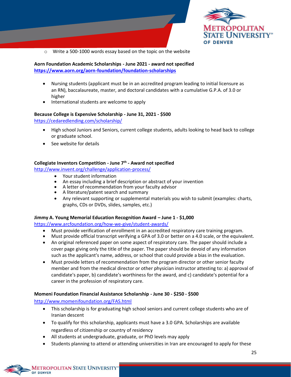

o Write a 500-1000 words essay based on the topic on the website

#### **Aorn Foundation Academic Scholarships - June 2021 - award not specified <https://www.aorn.org/aorn-foundation/foundation-scholarships>**

- Nursing students (applicant must be in an accredited program leading to initial licensure as an RN), baccalaureate, master, and doctoral candidates with a cumulative G.P.A. of 3.0 or higher
- International students are welcome to apply

#### **Because College is Expensive Scholarship - June 31, 2021 - \$500**

<https://cedaredlending.com/scholarship/>

- High school Juniors and Seniors, current college students, adults looking to head back to college or graduate school.
- See website for details

#### **Collegiate Inventors Competition - June 7th - Award not specified**

<http://www.invent.org/challenge/application-process/>

- Your student information
- An essay including a brief description or abstract of your invention
- A letter of recommendation from your faculty advisor
- A literature/patent search and summary
- Any relevant supporting or supplemental materials you wish to submit (examples: charts, graphs, CDs or DVDs, slides, samples, etc.)

#### **Jimmy A. Young Memorial Education Recognition Award – June 1 - \$1,000**

<https://www.arcfoundation.org/how-we-give/student-awards/>

- Must provide verification of enrollment in an accredited respiratory care training program.
- Must provide official transcript verifying a GPA of 3.0 or better on a 4.0 scale, or the equivalent.
- An original referenced paper on some aspect of respiratory care. The paper should include a cover page giving only the title of the paper. The paper should be devoid of any information such as the applicant's name, address, or school that could provide a bias in the evaluation.
- Must provide letters of recommendation from the program director or other senior faculty member and from the medical director or other physician instructor attesting to: a) approval of candidate's paper, b) candidate's worthiness for the award, and c) candidate's potential for a career in the profession of respiratory care.

#### **Momeni Foundation Financial Assistance Scholarship - June 30 - \$250 - \$500**

<http://www.momenifoundation.org/FAS.html>

- This scholarship is for graduating high school seniors and current college students who are of Iranian descent
- To qualify for this scholarship, applicants must have a 3.0 GPA. Scholarships are available regardless of citizenship or country of residency
- All students at undergraduate, graduate, or PhD levels may apply
- Students planning to attend or attending universities in Iran are encouraged to apply for these

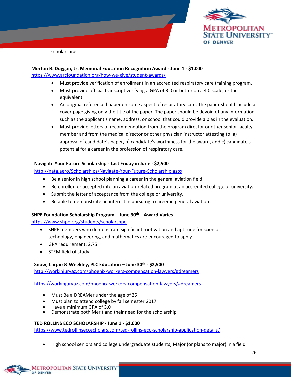

scholarships

#### **Morton B. Duggan, Jr. Memorial Education Recognition Award - June 1 - \$1,000** <https://www.arcfoundation.org/how-we-give/student-awards/>

- Must provide verification of enrollment in an accredited respiratory care training program.
- Must provide official transcript verifying a GPA of 3.0 or better on a 4.0 scale, or the equivalent
- An original referenced paper on some aspect of respiratory care. The paper should include a cover page giving only the title of the paper. The paper should be devoid of any information such as the applicant's name, address, or school that could provide a bias in the evaluation.
- Must provide letters of recommendation from the program director or other senior faculty member and from the medical director or other physician instructor attesting to: a) approval of candidate's paper, b) candidate's worthiness for the award, and c) candidate's potential for a career in the profession of respiratory care.

#### **Navigate Your Future Scholarship - Last Friday in June - \$2,500**

<http://nata.aero/Scholarships/Navigate-Your-Future-Scholarship.aspx>

- Be a senior in high school planning a career in the general aviation field.
- Be enrolled or accepted into an aviation-related program at an accredited college or university.
- Submit the letter of acceptance from the college or university.
- Be able to demonstrate an interest in pursuing a career in general aviation

#### **SHPE Foundation Scholarship Program – June 30th – Award Varie[s](http://programs.shpe.org/scholarships/)**

https://www.shpe.org/students/scholarshpe

- SHPE members who demonstrate significant motivation and aptitude for science, technology, engineering, and mathematics are encouraged to apply
- GPA requirement: 2.75
- STEM field of study

#### **Snow, Carpio & Weekley, PLC Education – June 30th - \$2,500**

<http://workinjuryaz.com/phoenix-workers-compensation-lawyers/#dreamers>

<https://workinjuryaz.com/phoenix-workers-compensation-lawyers/#dreamers>

- Must Be a DREAMer under the age of 25
- Must plan to attend college by fall semester 2017
- Have a minimum GPA of 3.0
- Demonstrate both Merit and their need for the scholarship

#### **TED ROLLINS ECO SCHOLARSHIP - June 1 - \$1,000**

<https://www.tedrollinsecoscholars.com/ted-rollins-eco-scholarship-application-details/>

• High school seniors and college undergraduate students; Major (or plans to major) in a field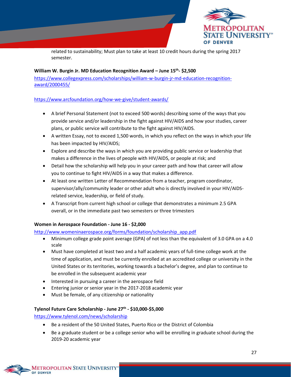

related to sustainability; Must plan to take at least 10 credit hours during the spring 2017 semester.

#### **William W. Burgin Jr. MD Education Recognition Award – June 15th - \$2,500**

[https://www.collegexpress.com/scholarships/william-w-burgin-jr-md-education-recognition](https://www.collegexpress.com/scholarships/william-w-burgin-jr-md-education-recognition-award/2000455/)[award/2000455/](https://www.collegexpress.com/scholarships/william-w-burgin-jr-md-education-recognition-award/2000455/)

#### <https://www.arcfoundation.org/how-we-give/student-awards/>

- A brief Personal Statement (not to exceed 500 words) describing some of the ways that you provide service and/or leadership in the fight against HIV/AIDS and how your studies, career plans, or public service will contribute to the fight against HIV/AIDS.
- A written Essay, not to exceed 1,500 words, in which you reflect on the ways in which your life has been impacted by HIV/AIDS;
- Explore and describe the ways in which you are providing public service or leadership that makes a difference in the lives of people with HIV/AIDS, or people at risk; and
- Detail how the scholarship will help you in your career path and how that career will allow you to continue to fight HIV/AIDS in a way that makes a difference.
- At least one written Letter of Recommendation from a teacher, program coordinator, supervisor/ally/community leader or other adult who is directly involved in your HIV/AIDSrelated service, leadership, or field of study.
- A Transcript from current high school or college that demonstrates a minimum 2.5 GPA overall, or in the immediate past two semesters or three trimesters

#### **Women in Aerospace Foundation - June 16 - \$2,000**

[http://www.womeninaerospace.org/forms/foundation/scholarship\\_app.pdf](http://www.womeninaerospace.org/forms/foundation/scholarship_app.pdf)

- Minimum college grade point average (GPA) of not less than the equivalent of 3.0 GPA on a 4.0 scale
- Must have completed at least two and a half academic years of full-time college work at the time of application, and must be currently enrolled at an accredited college or university in the United States or its territories, working towards a bachelor's degree, and plan to continue to be enrolled in the subsequent academic year
- Interested in pursuing a career in the aerospace field
- Entering junior or senior year in the 2017-2018 academic year
- Must be female, of any citizenship or nationality

#### **Tylenol Future Care Scholarship - June 27th - \$10,000-\$5,000**

<https://www.tylenol.com/news/scholarship>

- Be a resident of the 50 United States, Puerto Rico or the District of Colombia
- Be a graduate student or be a college senior who will be enrolling in graduate school during the 2019-20 academic year

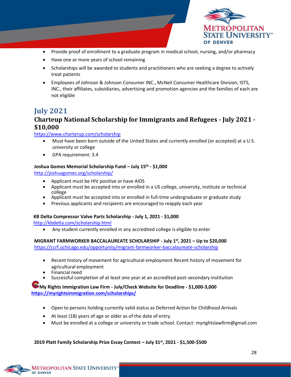

- Provide proof of enrollment to a graduate program in medical school, nursing, and/or pharmacy
- Have one or more years of school remaining
- Scholarships will be awarded to students and practitioners who are seeking a degree to actively treat patients
- Employees of Johnson & Johnson Consumer INC., McNeil Consumer Healthcare Division, ISTS, INC., their affiliates, subsidiaries, advertising and promotion agencies and the families of each are not eligible

### <span id="page-28-0"></span>**July 2021**

### **Charteup National Scholarship for Immigrants and Refugees - July 2021 - \$10,000**

<https://www.charterup.com/scholarship>

- Must have been born outside of the United States and currently enrolled (or accepted) at a U.S. university or college
- GPA requirement: 3.4

#### **Joshua Gomes Memorial Scholarship Fund – July 15th - \$1,000**

<http://joshuagomes.org/scholarship/>

- Applicant must be HIV positive or have AIDS
- Applicant must be accepted into or enrolled in a US college, university, institute or technical college
- Applicant must be accepted into or enrolled in full-time undergraduate or graduate study
- Previous applicants and recipients are encouraged to reapply each year

#### **KB Delta Compressor Valve Parts Scholarship - July 1, 2021 - \$1,000**

<http://kbdelta.com/scholarship.html>

• Any student currently enrolled in any accredited college is eligible to enter

**MIGRANT FARMWORKER BACCALAUREATE SCHOLARSHIP - July 1st, 2021 – Up to \$20,000** 

<https://ccrf.uchicago.edu/opportunity/migrant-farmworker-baccalaureate-scholarship>

- Recent history of movement for agricultural employment Recent history of movement for agricultural employment
- Financial need
- Successful completion of at least one year at an accredited post-secondary institution

**My Rights Immigration Law Firm - July/Check Website for Deadline - \$1,000-3,000 <https://myrightsimmigration.com/scholarships/>**

- Open to persons holding currently valid status as Deferred Action for Childhood Arrivals
- At least (18) years of age or older as of the date of entry.
- Must be enrolled at a college or university or trade school. Contac[t: myrightslawfirm@gmail.com](mailto:myrightslawfirm@gmail.com)

#### **2019 Platt Family Scholarship Prize Essay Contest – July 31st, 2021 - \$1,500-\$500**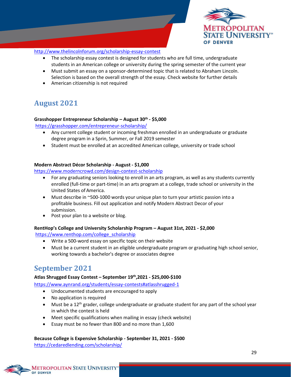

#### <http://www.thelincolnforum.org/scholarship-essay-contest>

- The scholarship essay contest is designed for students who are full time, undergraduate students in an American college or university during the spring semester of the current year
- Must submit an essay on a sponsor-determined topic that is related to Abraham Lincoln. Selection is based on the overall strength of the essay. Check website for further details
- American citizenship is not required

### <span id="page-29-0"></span>**August 2021**

#### **Grasshopper Entrepreneur Scholarship – August 30th - \$5,000**

<https://grasshopper.com/entrepreneur-scholarship/>

- Any current college student or incoming freshman enrolled in an undergraduate or graduate degree program in a Sprin, Summer, or Fall 2019 semester
- Student must be enrolled at an accredited American college, university or trade school

#### **Modern Abstract Décor Scholarship - August - \$1,000**

<https://www.moderncrowd.com/design-contest-scholarship>

- For any graduating seniors looking to enroll in an arts program, as well as any students currently enrolled (full-time or part-time) in an arts program at a college, trade school or university in the United States of America.
- Must describe in ~500-1000 words your unique plan to turn your artistic passion into a profitable business. Fill out application and notify Modern Abstract Decor of your submission.
- Post your plan to a website or blog.

#### **RentHop's College and University Scholarship Program – August 31st, 2021 - \$2,000**

[https://www.renthop.com/college\\_scholarship](https://www.renthop.com/college_scholarship)

- Write a 500-word essay on specific topic on their website
- Must be a current student in an eligible undergraduate program or graduating high school senior, working towards a bachelor's degree or associates degree

### <span id="page-29-1"></span>**September 2021**

#### **Atlas Shrugged Essay Contest – September 19th,2021 - \$25,000-\$100**

https:/[/www.aynrand.org/students/essay-contests#atlasshrugged-1](http://www.aynrand.org/students/essay-contests#atlasshrugged-1)

- Undocumented students are encouraged to apply
- No application is required
- Must be a 12<sup>th</sup> grader, college undergraduate or graduate student for any part of the school year in which the contest is held
- Meet specific qualifications when mailing in essay (check website)
- Essay must be no fewer than 800 and no more than 1,600

**Because College is Expensive Scholarship - September 31, 2021 - \$500** <https://cedaredlending.com/scholarship/>

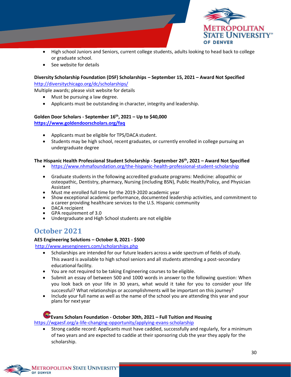

- High school Juniors and Seniors, current college students, adults looking to head back to college or graduate school.
- See website for details

#### **Diversity Scholarship Foundation (DSF) Scholarships – September 15, 2021 – Award Not Specified** <http://diversitychicago.org/dc/scholarships/>

Multiple awards; please visit website for details

- Must be pursuing a law degree.
- Applicants must be outstanding in character, integrity and leadership.

#### **Golden Door Scholars - September 16th, 2021 – Up to \$40,000 <https://www.goldendoorscholars.org/faq>**

- Applicants must be eligible for TPS/DACA student.
- Students may be high school, recent graduates, or currently enrolled in college pursuing an undergraduate degree

#### **The Hispanic Health Professional Student Scholarship - September 26th, 2021 – Award Not Specified**

- <https://www.nhmafoundation.org/the-hispanic-health-professional-student-scholarship>
- Graduate students in the following accredited graduate programs: Medicine: allopathic or osteopathic, Dentistry, pharmacy, Nursing (including BSN), Public Health/Policy, and Physician Assistant
- Must me enrolled full time for the 2019-2020 academic year
- Show exceptional academic performance, documented leadership activities, and commitment to a career providing healthcare services to the U.S. Hispanic community
- DACA recipient
- GPA requirement of 3.0
- Undergraduate and High School students are not eligible

### <span id="page-30-0"></span>**October 2021**

#### **AES Engineering Solutions – October 8, 2021 - \$500**

<http://www.aesengineers.com/scholarships.php>

- Scholarships are intended for our future leaders across a wide spectrum of fields of study. This award is available to high school seniors and all students attending a post-secondary educational facility.
- You are not required to be taking Engineering courses to be eligible.
- Submit an essay of between 500 and 1000 words in answer to the following question: When you look back on your life in 30 years, what would it take for you to consider your life successful? What relationships or accomplishments will be important on this journey?
- Include your full name as well as the name of the school you are attending this year and your plans for next year

#### **Evans Scholars Foundation - October 30th, 2021 – Full Tuition and Housing**  <https://wgaesf.org/a-life-changing-opportunity/applying-evans-scholarship>

• Strong caddie record: Applicants must have caddied, successfully and regularly, for a minimum of two years and are expected to caddie at their sponsoring club the year they apply for the scholarship.

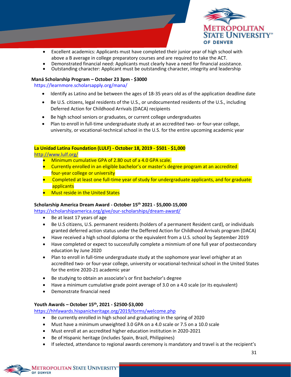

- Excellent academics: Applicants must have completed their junior year of high school with above a B average in college preparatory courses and are required to take the ACT.
- Demonstrated financial need: Applicants must clearly have a need for financial assistance.
- Outstanding character: Applicant must be outstanding character, integrity and leadership

#### **Maná Scholarship Program – October 23 3pm - \$3000**

<https://learnmore.scholarsapply.org/mana/>

- Identify as Latino and be between the ages of 18-35 years old as of the application deadline date
- Be U.S. citizens, legal residents of the U.S., or undocumented residents of the U.S., including Deferred Action for Childhood Arrivals (DACA) recipients
- Be high school seniors or graduates, or current college undergraduates
- Plan to enroll in full-time undergraduate study at an accredited two- or four-year college, university, or vocational-technical school in the U.S. for the entire upcoming academic year

#### **La Unidad Latina Foundation (LULF) - October 18, 2019 - \$501 - \$1,000**

<http://www.lulf.org/>

- Minimum cumulative GPA of 2.80 out of a 4.0 GPA scale.
- Currently enrolled in an eligible bachelor's or master's degree program at an accredited four-year college or university
- Completed at least one full-time year of study for undergraduate applicants, and for graduate applicants
- Must reside in the United States

#### **Scholarship America Dream Award - October 15th 2021 - \$5,000-15,000**

<https://scholarshipamerica.org/give/our-scholarships/dream-award/>

- Be at least 17 years of age
- Be U.S citizens, U.S. permanent residents (holders of a permanent Resident card), or individuals granted deferred action status under the Deffered Action for Childhood Arrivals program (DACA)
- Have received a high school diploma or the equivalent from a U.S. school by September 2019
- Have completed or expect to successfully complete a minmium of one full year of postsecondary education by June 2020
- Plan to enroll in full-time undergraduate study at the sophomore year level orhigher at an accredited two- or four-year college, university or vocational-technical school in the United States for the entire 2020-21 academic year
- Be studying to obtain an associate's or first bachelor's degree
- Have a minimum cumulative grade point average of 3.0 on a 4.0 scale (or its equivalent)
- Demonstrate financial need

**METROPOLITAN STATE UNIVERSITY**"

OF DENVER

#### **Youth Awards – October 15th, 2021 - \$2500-\$3,000**

<https://hhfawards.hispanicheritage.org/2019/forms/welcome.php>

- Be currently enrolled in high school and graduating in the spring of 2020
- Must have a minimum unweighted 3.0 GPA on a 4.0 scale or 7.5 on a 10.0 scale
- Must enroll at an accredited higher education institution in 2020-2021
- Be of Hispanic heritage (includes Spain, Brazil, Philippines)
- If selected, attendance to regional awards ceremony is mandatory and travel is at the recipient's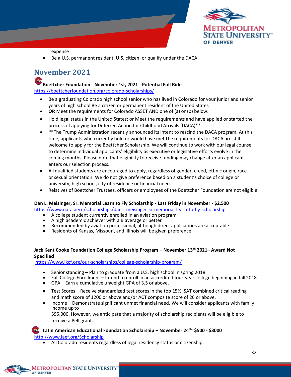

expense

Be a U.S. permanent resident, U.S. citizen, or qualify under the DACA

# <span id="page-32-0"></span>**November 2021**

#### **Boettcher Foundation - November 1st, 2021 - Potential Full Ride**

<https://boettcherfoundation.org/colorado-scholarships/>

- Be a graduating Colorado high school senior who has lived in Colorado for your junior and senior years of high school Be a citizen or permanent resident of the United States
- **OR** Meet the requirements for Colorado ASSET AND one of (a) or (b) below:
- Hold legal status in the United States; or Meet the requirements and have applied or started the process of applying for Deferred Action for Childhood Arrivals (DACA)\*\*
- \*\*The Trump Administration recently announced its intent to rescind the DACA program. At this time, applicants who currently hold or would have met the requirements for DACA are still welcome to apply for the Boettcher Scholarship. We will continue to work with our legal counsel to determine individual applicants' eligibility as executive or legislative efforts evolve in the coming months. Please note that eligibility to receive funding may change after an applicant enters our selection process.
- All qualified students are encouraged to apply, regardless of gender, creed, ethnic origin, race or sexual orientation. We do not give preference based on a student's choice of college or university, high school, city of residence or financial need.
- Relatives of Boettcher Trustees, officers or employees of the Boettcher Foundation are not eligible.

#### **Dan L. Meisinger, Sr. Memorial Learn to Fly Scholarship - Last Friday in November - \$2,500**

<https://www.nata.aero/scholarships/dan-l-meisinger-sr-memorial-learn-to-fly-scholarship>

- A college student currently enrolled in an aviation program
- A high academic achiever with a B average or better
- Recommended by aviation professional, although direct applications are acceptable
- Residents of Kansas, Missouri, and Illinois will be given preference.

#### **Jack Kent Cooke Foundation College Scholarship Program – November 13 th 2021– Award Not Specified**

<https://www.jkcf.org/our-scholarships/college-scholarship-program/>

- Senior standing Plan to graduate from a U.S. high school in spring 2018
- Fall College Enrollment Intend to enroll in an accredited four-year college beginning in fall 2018
- GPA Earn a cumulative unweight GPA of 3.5 or above.
- Test Scores Receive standardized test scores in the top 15%: SAT combined critical reading and math score of 1200 or above and/or ACT composite score of 26 or above.
- Income Demonstrate significant unmet financial need. We will consider applicants with family income up to

\$95,000. However, we anticipate that a majority of scholarship recipients will be eligible to receive a Pell grant.

#### L**atin American Educational Foundation Scholarship – November 24th - \$500 - \$3000**

<http://www.laef.org/Scholarship>

• All Colorado residents regardless of legal residency status or citizenship.

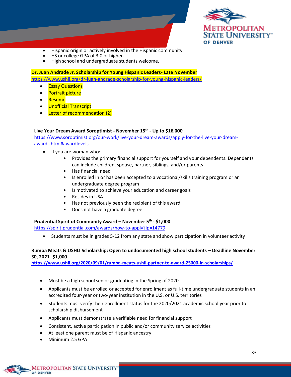

- Hispanic origin or actively involved in the Hispanic community.
- HS or college GPA of 3.0 or higher.
- High school and undergraduate students welcome.

#### **Dr. Juan Andrade Jr. Scholarship for Young Hispanic Leaders- Late November**

<https://www.ushli.org/dr-juan-andrade-scholarship-for-young-hispanic-leaders/>

- **Essay Questions**
- Portrait picture
- Resume
- Unofficial Transcript
- Letter of recommendation (2)

#### **Live Your Dream Award Soroptimist - November 15th - Up to \$16,000**

[https://www.soroptimist.org/our-work/live-your-dream-awards/apply-for-the-live-your-dream](https://www.soroptimist.org/our-work/live-your-dream-awards/apply-for-the-live-your-dream-awards.html#awardlevels)[awards.html#awardlevels](https://www.soroptimist.org/our-work/live-your-dream-awards/apply-for-the-live-your-dream-awards.html#awardlevels)

- If you are woman who:
	- Provides the primary financial support for yourself and your dependents. Dependents can include children, spouse, partner, siblings, and/or parents
	- Has financial need
	- Is enrolled in or has been accepted to a vocational/skills training program or an undergraduate degree program
	- Is motivated to achieve your education and career goals
	- Resides in USA
	- Has not previously been the recipient of this award
	- Does not have a graduate degree

#### **Prudential Spirit of Community Award – November 5th - \$1,000**

<https://spirit.prudential.com/awards/how-to-apply?lp=14779>

• Students must be in grades 5-12 from any state and show participation in volunteer activity

#### **Rumba Meats & USHLI Scholarship: Open to undocumented high school students – Deadline November 30, 2021 -\$1,000**

**<https://www.ushli.org/2020/09/01/rumba-meats-ushli-partner-to-award-25000-in-scholarships/>**

- Must be a high school senior graduating in the Spring of 2020
- Applicants must be enrolled or accepted for enrollment as full-time undergraduate students in an accredited four-year or two-year institution in the U.S. or U.S. territories
- Students must verify their enrollment status for the 2020/2021 academic school year prior to scholarship disbursement
- Applicants must demonstrate a verifiable need for financial support
- Consistent, active participation in public and/or community service activities
- At least one parent must be of Hispanic ancestry
- Minimum 2.5 GPA

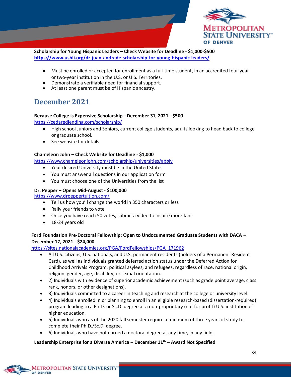

**Scholarship for Young Hispanic Leaders – Check Website for Deadline - \$1,000-\$500 <https://www.ushli.org/dr-juan-andrade-scholarship-for-young-hispanic-leaders/>**

- Must be enrolled or accepted for enrollment as a full-time student, in an accredited four-year or two-year institution in the U.S. or U.S. Territories.
- Demonstrate a verifiable need for financial support.
- At least one parent must be of Hispanic ancestry.

# <span id="page-34-0"></span>**December 2021**

#### **Because College is Expensive Scholarship - December 31, 2021 - \$500**

<https://cedaredlending.com/scholarship/>

- High school Juniors and Seniors, current college students, adults looking to head back to college or graduate school.
- See website for details

#### **Chameleon John – Check Website for Deadline - \$1,000**

<https://www.chameleonjohn.com/scholarship/universities/apply>

- Your desired University must be in the United States
- You must answer all questions in our application form
- You must choose one of the Universities from the list

#### **Dr. Pepper – Opens Mid-August - \$100,000**

<https://www.drpeppertuition.com/>

- Tell us how you'll change the world in 350 characters or less
- Rally your friends to vote
- Once you have reach 50 votes, submit a video to inspire more fans
- 18-24 years old

#### **Ford Foundation Pre-Doctoral Fellowship: Open to Undocumented Graduate Students with DACA – December 17, 2021 - \$24,000**

[https://sites.nationalacademies.org/PGA/FordFellowships/PGA\\_171962](https://sites.nationalacademies.org/PGA/FordFellowships/PGA_171962)

- All U.S. citizens, U.S. nationals, and U.S. permanent residents (holders of a Permanent Resident Card), as well as individuals granted deferred action status under the Deferred Action for Childhood Arrivals Program, political asylees, and refugees, regardless of race, national origin, religion, gender, age, disability, or sexual orientation.
- 2) Individuals with evidence of superior academic achievement (such as grade point average, class rank, honors, or other designations).
- 3) Individuals committed to a career in teaching and research at the college or university level.
- 4) Individuals enrolled in or planning to enroll in an eligible research-based (dissertation-required) program leading to a Ph.D. or Sc.D. degree at a non-proprietary (not for profit) U.S. institution of higher education.
- 5) Individuals who as of the 2020 fall semester require a minimum of three years of study to complete their Ph.D./Sc.D. degree.
- 6) Individuals who have not earned a doctoral degree at any time, in any field.

#### **Leadership Enterprise for a Diverse America – December 11th – Award Not Specified**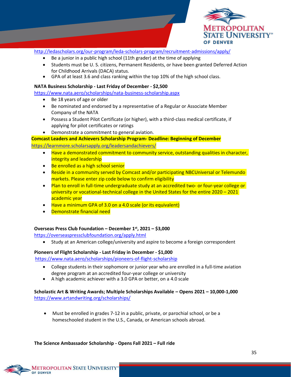

<http://ledascholars.org/our-program/leda-scholars-program/recruitment-admissions/apply/>

- Be a junior in a public high school (11th grader) at the time of applying
- Students must be U. S. citizens, Permanent Residents, or have been granted Deferred Action for Childhood Arrivals (DACA) status.
- GPA of at least 3.6 and class ranking within the top 10% of the high school class.

#### **NATA Business Scholarship - Last Friday of December - \$2,500**

- <https://www.nata.aero/scholarships/nata-business-scholarship.aspx>
	- Be 18 years of age or older
	- Be nominated and endorsed by a representative of a Regular or Associate Member Company of the NATA
	- Possess a Student Pilot Certificate (or higher), with a third-class medical certificate, if applying for pilot certificates or ratings
	- Demonstrate a commitment to general aviation.

#### **Comcast Leaders and Achievers Scholarship Program- Deadline: Beginning of December**

#### <https://learnmore.scholarsapply.org/leadersandachievers/>

- Have a demonstrated commitment to community service, outstanding qualities in character, integrity and leadership
- Be enrolled as a high school senior
- Reside in a community served by Comcast and/or participating NBCUniversal or Telemundo markets. Please enter zip code below to confirm eligibility
- Plan to enroll in full-time undergraduate study at an accredited two- or four-year college or university or vocational-technical college in the United States for the entire 2020 – 2021 academic year
- Have a minimum GPA of 3.0 on a 4.0 scale (or its equivalent)
- Demonstrate financial need

#### **Overseas Press Club Foundation – December 1st, 2021 – \$3,000**

<https://overseaspressclubfoundation.org/apply.html>

• Study at an American college/university and aspire to become a foreign correspondent

#### **Pioneers of Flight Scholarship - Last Friday in December - \$1,000**

<https://www.nata.aero/scholarships/pioneers-of-flight-scholarship>

- College students in their sophomore or junior year who are enrolled in a full-time aviation degree program at an accredited four-year college or university
- A high academic achiever with a 3.0 GPA or better, on a 4.0 scale

#### **Scholastic Art & Writing Awards; Multiple Scholarships Available – Opens 2021 – 10,000-1,000** <https://www.artandwriting.org/scholarships/>

• Must be enrolled in grades 7-12 in a public, private, or parochial school, or be a homeschooled student in the U.S., Canada, or American schools abroad.

**The Science Ambassador Scholarship - Opens Fall 2021 – Full ride**